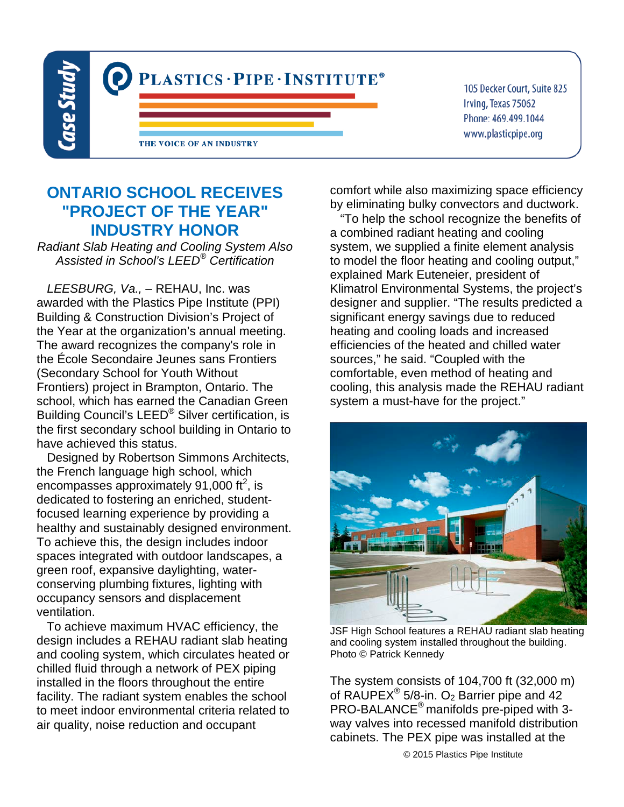

105 Decker Court, Suite 825 Irving, Texas 75062 Phone: 469.499.1044 www.plasticpipe.org

## **ONTARIO SCHOOL RECEIVES "PROJECT OF THE YEAR" INDUSTRY HONOR**

*Radiant Slab Heating and Cooling System Also Assisted in School's LEED® Certification*

 *LEESBURG, Va., –* REHAU, Inc. was awarded with the Plastics Pipe Institute (PPI) Building & Construction Division's Project of the Year at the organization's annual meeting. The award recognizes the company's role in the [École Secondaire Jeunes sans Frontiers](http://www.rehau.com/download/874268/jsf-high-school-project-profile.pdf?) (Secondary School for Youth Without Frontiers) project in Brampton, Ontario. The school, which has earned the Canadian Green Building Council's LEED® Silver certification, is the first secondary school building in Ontario to have achieved this status.

 Designed by Robertson Simmons Architects, the French language high school, which encompasses approximately 91,000 ft $^2$ , is dedicated to fostering an enriched, studentfocused learning experience by providing a healthy and sustainably designed environment. To achieve this, the design includes indoor spaces integrated with outdoor landscapes, a green roof, expansive daylighting, waterconserving plumbing fixtures, lighting with occupancy sensors and displacement ventilation.

 To achieve maximum HVAC efficiency, the design includes a REHAU radiant slab heating and cooling system, which circulates heated or chilled fluid through a network of PEX piping installed in the floors throughout the entire facility. The radiant system enables the school to meet indoor environmental criteria related to air quality, noise reduction and occupant

comfort while also maximizing space efficiency by eliminating bulky convectors and ductwork.

 "To help the school recognize the benefits of a combined radiant heating and cooling system, we supplied a finite element analysis to model the floor heating and cooling output," explained Mark Euteneier, president of Klimatrol Environmental Systems, the project's designer and supplier. "The results predicted a significant energy savings due to reduced heating and cooling loads and increased efficiencies of the heated and chilled water sources," he said. "Coupled with the comfortable, even method of heating and cooling, this analysis made the REHAU radiant system a must-have for the project."



JSF High School features a REHAU radiant slab heating and cooling system installed throughout the building. Photo © Patrick Kennedy

The system consists of 104,700 ft (32,000 m) of RAUPEX<sup>®</sup> 5/8-in. O<sub>2</sub> Barrier pipe and 42 PRO-BALANCE® manifolds pre-piped with 3 way valves into recessed manifold distribution cabinets. The PEX pipe was installed at the